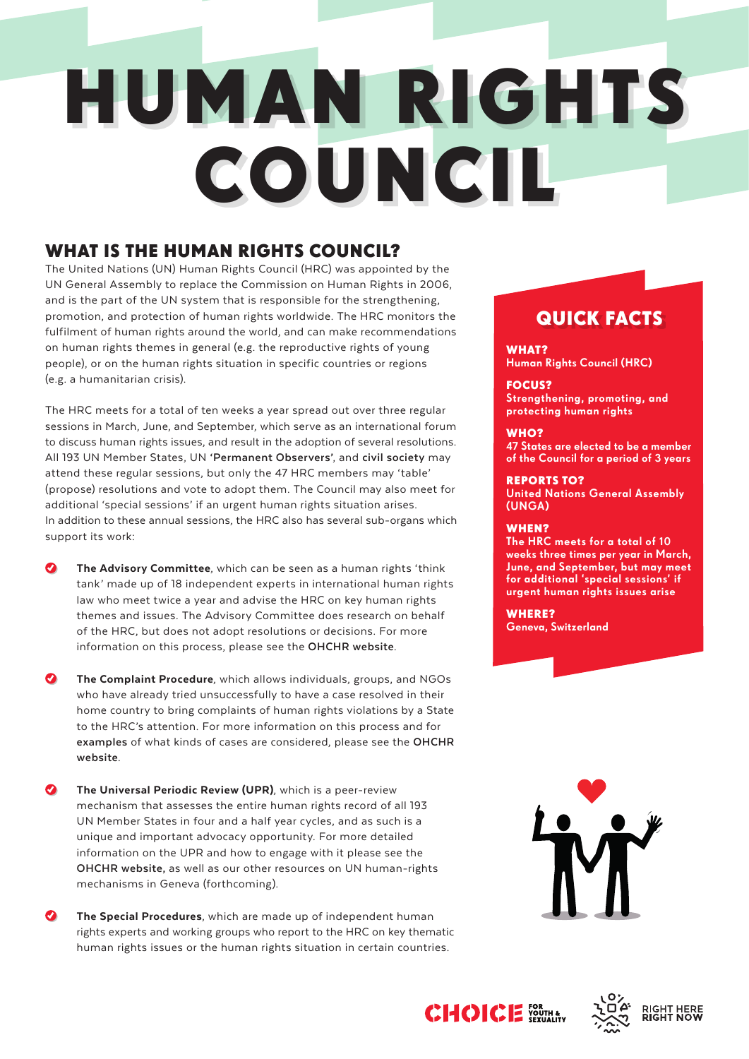# HUMAN RIGHTS COUNCIL

# WHAT IS THE HUMAN RIGHTS COUNCIL?

The United Nations (UN) Human Rights Council (HRC) was appointed by the UN General Assembly to replace the Commission on Human Rights in 2006, and is the part of the UN system that is responsible for the strengthening, promotion, and protection of human rights worldwide. The HRC monitors the fulfilment of human rights around the world, and can make recommendations on human rights themes in general (e.g. the reproductive rights of young people), or on the human rights situation in specific countries or regions (e.g. a humanitarian crisis).

The HRC meets for a total of ten weeks a year spread out over three regular sessions in March, June, and September, which serve as an international forum to discuss human rights issues, and result in the adoption of several resolutions. All 193 UN Member States, UN **['Permanent Observers'](http://www.un.org/en/sections/member-states/about-permanent-observers/index.html)**, and **[civil society](http://www.un.org/en/sections/resources/civil-society/index.html)** may attend these regular sessions, but only the 47 HRC members may 'table' (propose) resolutions and vote to adopt them. The Council may also meet for additional 'special sessions' if an urgent human rights situation arises. In addition to these annual sessions, the HRC also has several sub-organs which support its work:

The Advisory Committee, which can be seen as a human rights 'think tank' made up of 18 independent experts in international human rights law who meet twice a year and advise the HRC on key human rights themes and issues. The Advisory Committee does research on behalf of the HRC, but does not adopt resolutions or decisions. For more information on this process, please see the **[OHCHR website](http://www.ohchr.org/EN/HRBodies/HRC/AdvisoryCommittee/Pages/HRCACIndex.aspx)**.

 $\bullet$ The Complaint Procedure, which allows individuals, groups, and NGOs who have already tried unsuccessfully to have a case resolved in their home country to bring complaints of human rights violations by a State to the HRC's attention. For more information on this process and for **[examples](http://www.ohchr.org/Documents/HRBodies/ComplaintProcedure/SituationsConsideredUnderComplaintProcedures.pdf)** of what kinds of cases are considered, please see the **[OHCHR](http://www.ohchr.org/EN/HRBodies/HRC/ComplaintProcedure/Pages/HRCComplaintProcedureIndex.aspx)  [website](http://www.ohchr.org/EN/HRBodies/HRC/ComplaintProcedure/Pages/HRCComplaintProcedureIndex.aspx)**.

- $\bullet$ The Universal Periodic Review (UPR), which is a peer-review mechanism that assesses the entire human rights record of all 193 UN Member States in four and a half year cycles, and as such is a unique and important advocacy opportunity. For more detailed information on the UPR and how to engage with it please see the **[OHCHR website,](http://www.ohchr.org/EN/HRBodies/UPR/Pages/UPRMain.aspx)** as well as our other resources on UN human-rights mechanisms in Geneva (forthcoming).
- $\bullet$ The Special Procedures, which are made up of independent human rights experts and working groups who report to the HRC on key thematic human rights issues or the human rights situation in certain countries.

# QUICK FACTS

WHAT? Human Rights Council (HRC)

FOCUS? Strengthening, promoting, and protecting human rights

## WHO?

47 States are elected to be a member of the Council for a period of 3 years

## REPORTS TO?

United Nations General Assembly (UNGA)

## WHEN?

The HRC meets for a total of 10 weeks three times per year in March, June, and September, but may meet for additional 'special sessions' if urgent human rights issues arise

WHERE? Geneva, Switzerland





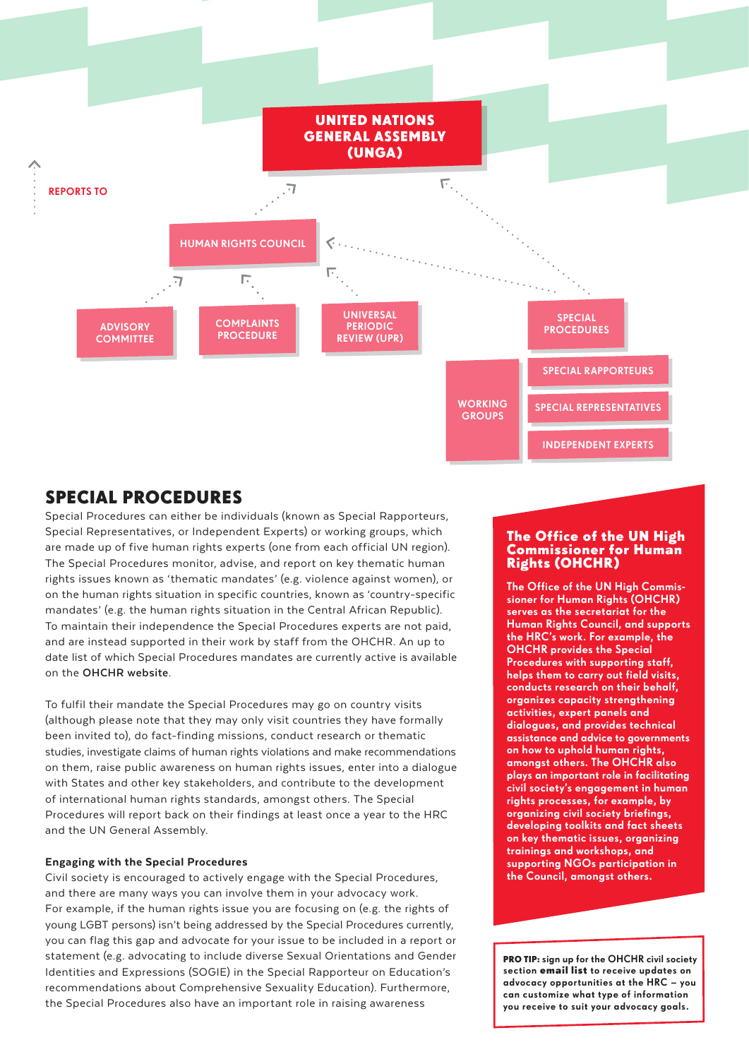

# SPECIAL PROCEDURES

Special Procedures can either be individuals (known as Special Rapporteurs, Special Representatives, or Independent Experts) or working groups, which are made up of five human rights experts (one from each official UN region). The Special Procedures monitor, advise, and report on key thematic human rights issues known as 'thematic mandates' (e.g. violence against women), or on the human rights situation in specific countries, known as 'country-specific mandates' (e.g. the human rights situation in the Central African Republic). To maintain their independence the Special Procedures experts are not paid, and are instead supported in their work by staff from the OHCHR. An up to date list of which Special Procedures mandates are currently active is available on the **[OHCHR website](http://www.ohchr.org/EN/HRBodies/SP/Pages/Currentmandateholders.aspx)**.

To fulfil their mandate the Special Procedures may go on country visits (although please note that they may only visit countries they have formally been invited to), do fact-finding missions, conduct research or thematic studies, investigate claims of human rights violations and make recommendations on them, raise public awareness on human rights issues, enter into a dialogue with States and other key stakeholders, and contribute to the development of international human rights standards, amongst others. The Special Procedures will report back on their findings at least once a year to the HRC and the UN General Assembly.

#### Engaging with the Special Procedures

Civil society is encouraged to actively engage with the Special Procedures, and there are many ways you can involve them in your advocacy work. For example, if the human rights issue you are focusing on (e.g. the rights of young LGBT persons) isn't being addressed by the Special Procedures currently, you can flag this gap and advocate for your issue to be included in a report or statement (e.g. advocating to include diverse Sexual Orientations and Gender Identities and Expressions (SOGIE) in the Special Rapporteur on Education's recommendations about Comprehensive Sexuality Education). Furthermore, the Special Procedures also have an important role in raising awareness

#### The Office of the UN High Commissioner for Human Rights (OHCHR)

The Office of the UN High Commissioner for Human Rights (OHCHR) serves as the secretariat for the Human Rights Council, and supports the HRC's work. For example, the OHCHR provides the Special Procedures with supporting staff, helps them to carry out field visits, conducts research on their behalf, organizes capacity strengthening activities, expert panels and dialogues, and provides technical assistance and advice to governments on how to uphold human rights, amongst others. The OHCHR also plays an important role in facilitating civil society's engagement in human rights processes, for example, by organizing civil society briefings, developing toolkits and fact sheets on key thematic issues, organizing trainings and workshops, and supporting NGOs participation in the Council, amongst others.

PRO TIP: sign up for the OHCHR civil society section [email list](https://visitor.constantcontact.com/manage/optin?v=0015de0J6wWFJ5woeZbEcmRY6yC22yudf7sXRSCTVsxd085iTbzI-4BQuQX4e9cMEeX4UX_VkAHk_-MaHgtXuWKzO7_ankC4bAtnKPMIT-jPH9gKBsg-Yj2UhnWD_2Qo1NA) to receive updates on advocacy opportunities at the HRC – you can customize what type of information you receive to suit your advocacy goals.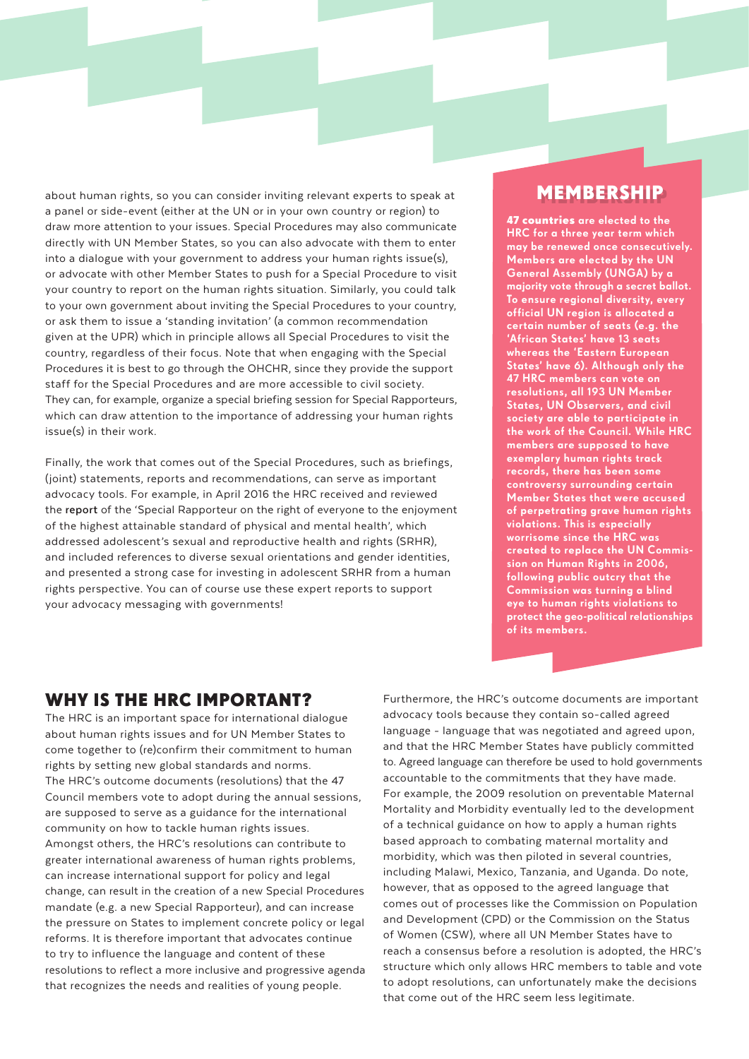about human rights, so you can consider inviting relevant experts to speak at a panel or side-event (either at the UN or in your own country or region) to draw more attention to your issues. Special Procedures may also communicate directly with UN Member States, so you can also advocate with them to enter into a dialogue with your government to address your human rights issue(s), or advocate with other Member States to push for a Special Procedure to visit your country to report on the human rights situation. Similarly, you could talk to your own government about inviting the Special Procedures to your country, or ask them to issue a 'standing invitation' (a common recommendation given at the UPR) which in principle allows all Special Procedures to visit the country, regardless of their focus. Note that when engaging with the Special Procedures it is best to go through the OHCHR, since they provide the support staff for the Special Procedures and are more accessible to civil society. They can, for example, organize a special briefing session for Special Rapporteurs, which can draw attention to the importance of addressing your human rights issue(s) in their work.

Finally, the work that comes out of the Special Procedures, such as briefings, (joint) statements, reports and recommendations, can serve as important advocacy tools. For example, in April 2016 the HRC received and reviewed the **[report](http://ap.ohchr.org/documents/dpage_e.aspx?si=A/HRC/32/32)** of the 'Special Rapporteur on the right of everyone to the enjoyment of the highest attainable standard of physical and mental health', which addressed adolescent's sexual and reproductive health and rights (SRHR), and included references to diverse sexual orientations and gender identities, and presented a strong case for investing in adolescent SRHR from a human rights perspective. You can of course use these expert reports to support your advocacy messaging with governments!

# MEMBERSHIP

[47 countries](http://www.ohchr.org/EN/HRBodies/HRC/Pages/Membership.aspx) are elected to the HRC for a three year term which may be renewed once consecutively. Members are elected by the UN General Assembly (UNGA) by a majority vote through a secret ballot. To ensure regional diversity, every official UN region is allocated a certain number of seats (e.g. the 'African States' have 13 seats whereas the 'Eastern European States' have 6). Although only the 47 HRC members can vote on resolutions, all 193 UN Member States, UN Observers, and civil society are able to participate in the work of the Council. While HRC members are supposed to have exemplary human rights tracl records, there has been some controversy surrounding certain Member States that were accused of perpetrating grave human rights violations. This is especially worrisome since the HRC was created to replace the UN Commission on Human Rights in 2006, following public outcry that the Commission was turning a blind eye to human rights violations to protect the geo-political relationships of its members.

# WHY IS THE HRC IMPORTANT?

The HRC is an important space for international dialogue about human rights issues and for UN Member States to come together to (re)confirm their commitment to human rights by setting new global standards and norms. The HRC's outcome documents (resolutions) that the 47 Council members vote to adopt during the annual sessions, are supposed to serve as a guidance for the international community on how to tackle human rights issues. Amongst others, the HRC's resolutions can contribute to greater international awareness of human rights problems, can increase international support for policy and legal change, can result in the creation of a new Special Procedures mandate (e.g. a new Special Rapporteur), and can increase the pressure on States to implement concrete policy or legal reforms. It is therefore important that advocates continue to try to influence the language and content of these resolutions to reflect a more inclusive and progressive agenda that recognizes the needs and realities of young people.

Furthermore, the HRC's outcome documents are important advocacy tools because they contain so-called agreed language - language that was negotiated and agreed upon, and that the HRC Member States have publicly committed to. Agreed language can therefore be used to hold governments accountable to the commitments that they have made. For example, the 2009 resolution on preventable Maternal Mortality and Morbidity eventually led to the development of a technical guidance on how to apply a human rights based approach to combating maternal mortality and morbidity, which was then piloted in several countries, including Malawi, Mexico, Tanzania, and Uganda. Do note, however, that as opposed to the agreed language that comes out of processes like the Commission on Population and Development (CPD) or the Commission on the Status of Women (CSW), where all UN Member States have to reach a consensus before a resolution is adopted, the HRC's structure which only allows HRC members to table and vote to adopt resolutions, can unfortunately make the decisions that come out of the HRC seem less legitimate.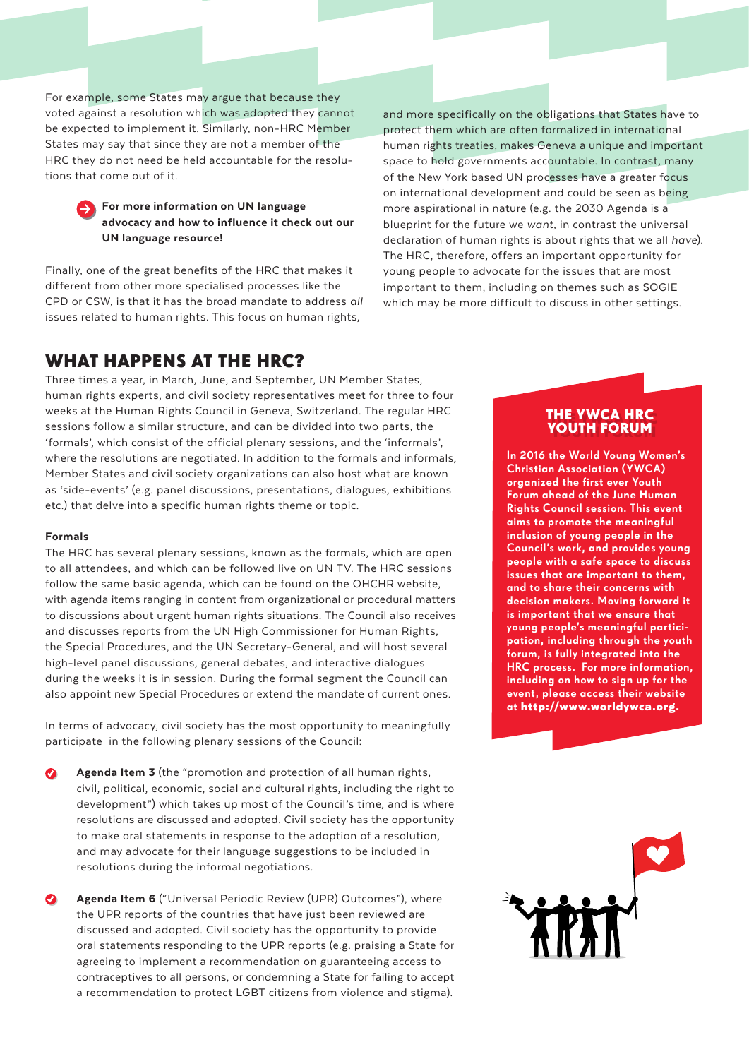For example, some States may argue that because they voted against a resolution which was adopted they cannot be expected to implement it. Similarly, non-HRC Member States may say that since they are not a member of the HRC they do not need be held accountable for the resolutions that come out of it.

### For more information on UN language advocacy and how to influence it check out our UN language resource!

Finally, one of the great benefits of the HRC that makes it different from other more specialised processes like the CPD or CSW, is that it has the broad mandate to address *all*  issues related to human rights. This focus on human rights,

and more specifically on the obligations that States have to protect them which are often formalized in international human rights treaties, makes Geneva a unique and important space to hold governments accountable. In contrast, many of the New York based UN processes have a greater focus on international development and could be seen as being more aspirational in nature (e.g. the 2030 Agenda is a blueprint for the future we *want*, in contrast the universal declaration of human rights is about rights that we all *have*). The HRC, therefore, offers an important opportunity for young people to advocate for the issues that are most important to them, including on themes such as SOGIE which may be more difficult to discuss in other settings.

# WHAT HAPPENS AT THE HRC?

Three times a year, in March, June, and September, UN Member States, human rights experts, and civil society representatives meet for three to four weeks at the Human Rights Council in Geneva, Switzerland. The regular HRC sessions follow a similar structure, and can be divided into two parts, the 'formals', which consist of the official plenary sessions, and the 'informals', where the resolutions are negotiated. In addition to the formals and informals, Member States and civil society organizations can also host what are known as 'side-events' (e.g. panel discussions, presentations, dialogues, exhibitions etc.) that delve into a specific human rights theme or topic.

#### Formals

The HRC has several plenary sessions, known as the formals, which are open to all attendees, and which can be followed live on UN TV. The HRC sessions follow the same basic agenda, which can be found on the OHCHR website, with agenda items ranging in content from organizational or procedural matters to discussions about urgent human rights situations. The Council also receives and discusses reports from the UN High Commissioner for Human Rights, the Special Procedures, and the UN Secretary-General, and will host several high-level panel discussions, general debates, and interactive dialogues during the weeks it is in session. During the formal segment the Council can also appoint new Special Procedures or extend the mandate of current ones.

In terms of advocacy, civil society has the most opportunity to meaningfully participate in the following plenary sessions of the Council:

- Agenda Item 3 (the "promotion and protection of all human rights, civil, political, economic, social and cultural rights, including the right to development") which takes up most of the Council's time, and is where resolutions are discussed and adopted. Civil society has the opportunity to make oral statements in response to the adoption of a resolution, and may advocate for their language suggestions to be included in resolutions during the informal negotiations.
- Agenda Item 6 ("Universal Periodic Review (UPR) Outcomes"), where the UPR reports of the countries that have just been reviewed are discussed and adopted. Civil society has the opportunity to provide oral statements responding to the UPR reports (e.g. praising a State for agreeing to implement a recommendation on guaranteeing access to contraceptives to all persons, or condemning a State for failing to accept a recommendation to protect LGBT citizens from violence and stigma).

#### THE YWCA HRC YOUTH FORUM

In 2016 the World Young Women's Christian Association (YWCA) organized the first ever Youth Forum ahead of the June Human Rights Council session. This event aims to promote the meaningful inclusion of young people in the Council's work, and provides young people with a safe space to discuss issues that are important to them, and to share their concerns with decision makers. Moving forward it is important that we ensure that young people's meaningful participation, including through the youth forum, is fully integrated into the HRC process. For more information, including on how to sign up for the event, please access their website at [http://www.worldywca.org.]( http://www.worldywca.org)

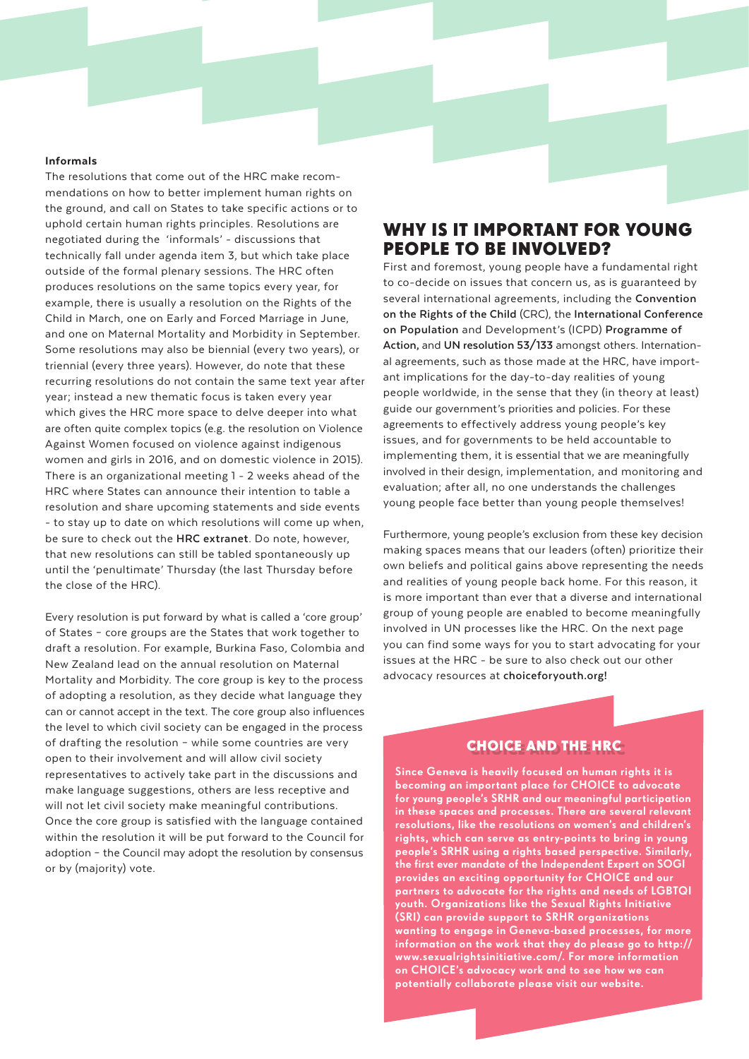#### Informals

The resolutions that come out of the HRC make recommendations on how to better implement human rights on the ground, and call on States to take specific actions or to uphold certain human rights principles. Resolutions are negotiated during the 'informals' - discussions that technically fall under agenda item 3, but which take place outside of the formal plenary sessions. The HRC often produces resolutions on the same topics every year, for example, there is usually a resolution on the Rights of the Child in March, one on Early and Forced Marriage in June, and one on Maternal Mortality and Morbidity in September. Some resolutions may also be biennial (every two years), or triennial (every three years). However, do note that these recurring resolutions do not contain the same text year after year; instead a new thematic focus is taken every year which gives the HRC more space to delve deeper into what are often quite complex topics (e.g. the resolution on Violence Against Women focused on violence against indigenous women and girls in 2016, and on domestic violence in 2015). There is an organizational meeting 1 - 2 weeks ahead of the HRC where States can announce their intention to table a resolution and share upcoming statements and side events - to stay up to date on which resolutions will come up when, be sure to check out the **[HRC extranet](http://www.ohchr.org/EN/HRBodies/HRC/Pages/HRCRegistration.aspx)**. Do note, however, that new resolutions can still be tabled spontaneously up until the 'penultimate' Thursday (the last Thursday before the close of the HRC).

Every resolution is put forward by what is called a 'core group' of States – core groups are the States that work together to draft a resolution. For example, Burkina Faso, Colombia and New Zealand lead on the annual resolution on Maternal Mortality and Morbidity. The core group is key to the process of adopting a resolution, as they decide what language they can or cannot accept in the text. The core group also influences the level to which civil society can be engaged in the process of drafting the resolution – while some countries are very open to their involvement and will allow civil society representatives to actively take part in the discussions and make language suggestions, others are less receptive and will not let civil society make meaningful contributions. Once the core group is satisfied with the language contained within the resolution it will be put forward to the Council for adoption – the Council may adopt the resolution by consensus or by (majority) vote.

# WHY IS IT IMPORTANT FOR YOUNG PEOPLE TO BE INVOLVED?

First and foremost, young people have a fundamental right to co-decide on issues that concern us, as is guaranteed by [several international agreements, including the](http://www.ohchr.org/en/professionalinterest/pages/crc.aspx) **Convention on the Rights of the Child** (CRC), the **International Conference on Population** [and Development's \(ICPD\)](http://www.unfpa.org/icpd) **Programme of Action,** and **[UN resolution 53/133](http://www.un.org/ga/search/view_doc.asp?symbol=A/RES/58/133)** amongst others. International agreements, such as those made at the HRC, have important implications for the day-to-day realities of young people worldwide, in the sense that they (in theory at least) guide our government's priorities and policies. For these agreements to effectively address young people's key issues, and for governments to be held accountable to implementing them, it is essential that we are meaningfully involved in their design, implementation, and monitoring and evaluation; after all, no one understands the challenges young people face better than young people themselves!

Furthermore, young people's exclusion from these key decision making spaces means that our leaders (often) prioritize their own beliefs and political gains above representing the needs and realities of young people back home. For this reason, it is more important than ever that a diverse and international group of young people are enabled to become meaningfully involved in UN processes like the HRC. On the next page you can find some ways for you to start advocating for your issues at the HRC - be sure to also check out our other advocacy resources at **[choiceforyouth.org!](http://choiceforyouth.org)**

## CHOICE AND THE HRC

Since Geneva is heavily focused on human rights it is becoming an important place for CHOICE to advocate for young people's SRHR and our meaningful participation in these spaces and processes. There are several relevant resolutions, like the resolutions on women's and children's thts, which can serve as entry-points to bring in young people's SRHR using a rights based perspective. Similarly, the first ever mandate of the Independent Expert on SOGI provides an exciting opportunity for CHOICE and our partners to advocate for the rights and needs of LGBTQI youth. Organizations like the Sexual Rights Initiative (SRI) can provide support to SRHR organizations wanting to engage in Geneva-based processes, for more information on the work that they do please go to http:// www.sexualrightsinitiative.com/. For more information on CHOICE's advocacy work and to see how we can potentially collaborate please visit our [website.](http://choiceforyouth.org)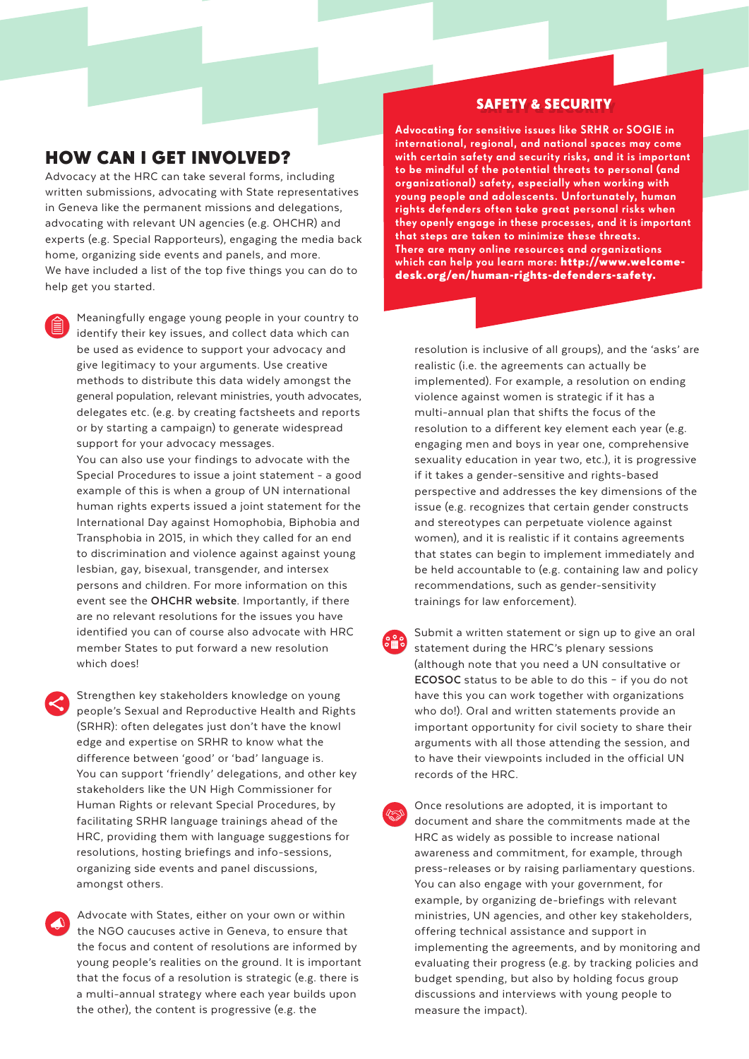## HOW CAN I GET INVOLVED?

Advocacy at the HRC can take several forms, including written submissions, advocating with State representatives in Geneva like the permanent missions and delegations, advocating with relevant UN agencies (e.g. OHCHR) and experts (e.g. Special Rapporteurs), engaging the media back home, organizing side events and panels, and more. We have included a list of the top five things you can do to help get you started.

Meaningfully engage young people in your country to identify their key issues, and collect data which can be used as evidence to support your advocacy and give legitimacy to your arguments. Use creative methods to distribute this data widely amongst the general population, relevant ministries, youth advocates, delegates etc. (e.g. by creating factsheets and reports or by starting a campaign) to generate widespread support for your advocacy messages. You can also use your findings to advocate with the Special Procedures to issue a joint statement - a good example of this is when a group of UN international human rights experts issued a joint statement for the International Day against Homophobia, Biphobia and Transphobia in 2015, in which they called for an end to discrimination and violence against against young lesbian, gay, bisexual, transgender, and intersex persons and children. For more information on this event see the **[OHCHR website](http://www.ohchr.org/EN/NewsEvents/Pages/DisplayNews.aspx?NewsID=15941&LangID=E)**. Importantly, if there are no relevant resolutions for the issues you have identified you can of course also advocate with HRC member States to put forward a new resolution which does!

Strengthen key stakeholders knowledge on young people's Sexual and Reproductive Health and Rights (SRHR): often delegates just don't have the knowl edge and expertise on SRHR to know what the difference between 'good' or 'bad' language is. You can support 'friendly' delegations, and other key stakeholders like the UN High Commissioner for Human Rights or relevant Special Procedures, by facilitating SRHR language trainings ahead of the HRC, providing them with language suggestions for resolutions, hosting briefings and info-sessions, organizing side events and panel discussions, amongst others.

Advocate with States, either on your own or within the NGO caucuses active in Geneva, to ensure that the focus and content of resolutions are informed by young people's realities on the ground. It is important that the focus of a resolution is strategic (e.g. there is a multi-annual strategy where each year builds upon the other), the content is progressive (e.g. the

## SAFETY & SECURITY

Advocating for sensitive issues like SRHR or SOGIE in international, regional, and national spaces may come with certain safety and security risks, and it is important to be mindful of the potential threats to personal (and organizational) safety, especially when working with young people and adolescents. Unfortunately, human rights defenders often take great personal risks when they openly engage in these processes, and it is important that steps are taken to minimize these threats. There are many online resources and organizations which can help you learn more: http://www.welcome[desk.org/en/human-rights-defenders-safety.](http://www.welcomedesk.org/en/human-rights-defenders-safety)

resolution is inclusive of all groups), and the 'asks' are realistic (i.e. the agreements can actually be implemented). For example, a resolution on ending violence against women is strategic if it has a multi-annual plan that shifts the focus of the resolution to a different key element each year (e.g. engaging men and boys in year one, comprehensive sexuality education in year two, etc.), it is progressive if it takes a gender-sensitive and rights-based perspective and addresses the key dimensions of the issue (e.g. recognizes that certain gender constructs and stereotypes can perpetuate violence against women), and it is realistic if it contains agreements that states can begin to implement immediately and be held accountable to (e.g. containing law and policy recommendations, such as gender-sensitivity trainings for law enforcement).

- Submit a written statement or sign up to give an oral statement during the HRC's plenary sessions (although note that you need a UN consultative or **[ECOSOC](http://csonet.org/?menu=100)** status to be able to do this – if you do not have this you can work together with organizations who do!). Oral and written statements provide an important opportunity for civil society to share their arguments with all those attending the session, and to have their viewpoints included in the official UN records of the HRC.
- Once resolutions are adopted, it is important to document and share the commitments made at the HRC as widely as possible to increase national awareness and commitment, for example, through press-releases or by raising parliamentary questions. You can also engage with your government, for example, by organizing de-briefings with relevant ministries, UN agencies, and other key stakeholders, offering technical assistance and support in implementing the agreements, and by monitoring and evaluating their progress (e.g. by tracking policies and budget spending, but also by holding focus group discussions and interviews with young people to measure the impact).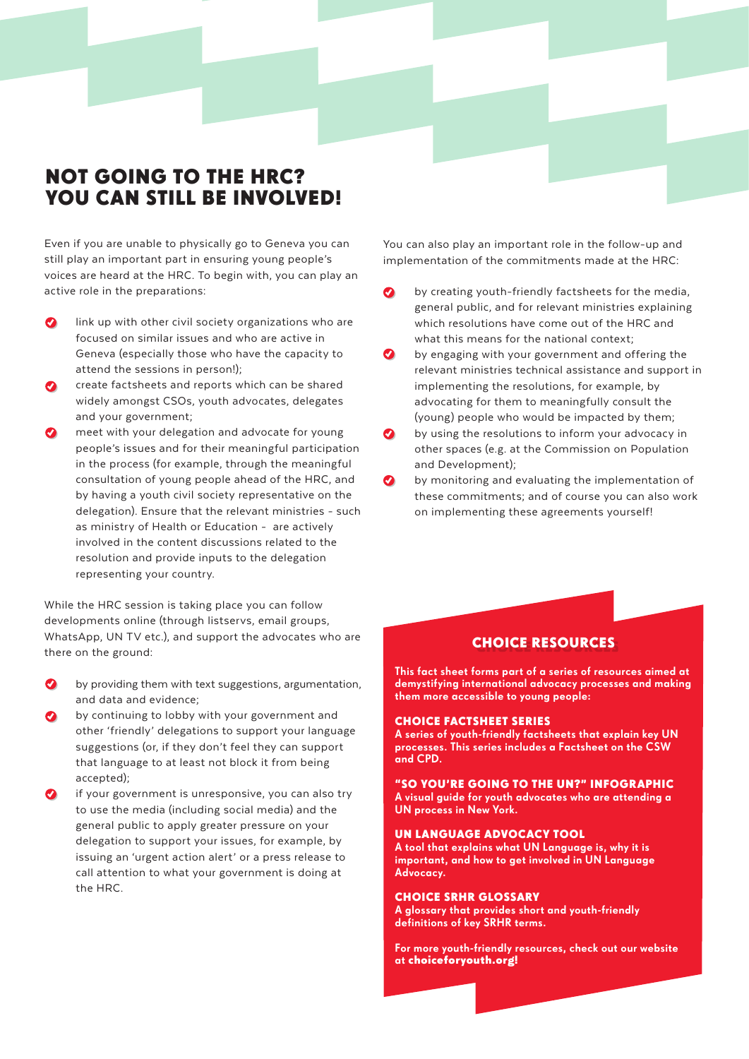# NOT GOING TO THE HRC? YOU CAN STILL BE INVOLVED!

Even if you are unable to physically go to Geneva you can still play an important part in ensuring young people's voices are heard at the HRC. To begin with, you can play an active role in the preparations:

- link up with other civil society organizations who are focused on similar issues and who are active in Geneva (especially those who have the capacity to attend the sessions in person!);
- create factsheets and reports which can be shared widely amongst CSOs, youth advocates, delegates and your government;
- meet with your delegation and advocate for young people's issues and for their meaningful participation in the process (for example, through the meaningful consultation of young people ahead of the HRC, and by having a youth civil society representative on the delegation). Ensure that the relevant ministries - such as ministry of Health or Education - are actively involved in the content discussions related to the resolution and provide inputs to the delegation representing your country.

While the HRC session is taking place you can follow developments online (through listservs, email groups, WhatsApp, UN TV etc.), and support the advocates who are there on the ground:

- by providing them with text suggestions, argumentation, and data and evidence;
- by continuing to lobby with your government and other 'friendly' delegations to support your language suggestions (or, if they don't feel they can support that language to at least not block it from being accepted);
- if your government is unresponsive, you can also try to use the media (including social media) and the general public to apply greater pressure on your delegation to support your issues, for example, by issuing an 'urgent action alert' or a press release to call attention to what your government is doing at the HRC.

You can also play an important role in the follow-up and implementation of the commitments made at the HRC:

- $\bullet$ by creating youth-friendly factsheets for the media, general public, and for relevant ministries explaining which resolutions have come out of the HRC and what this means for the national context;
- by engaging with your government and offering the relevant ministries technical assistance and support in implementing the resolutions, for example, by advocating for them to meaningfully consult the (young) people who would be impacted by them;
- by using the resolutions to inform your advocacy in  $\bullet$ other spaces (e.g. at the Commission on Population and Development);
- by monitoring and evaluating the implementation of these commitments; and of course you can also work on implementing these agreements yourself!

## CHOICE RESOURCES

This fact sheet forms part of a series of resources aimed at demystifying international advocacy processes and making them more accessible to young people:

#### CHOICE FACTSHEET SERIES

A series of youth-friendly factsheets that explain key UN processes. This series includes a Factsheet on the CSW and CPD.

"SO YOU'RE GOING TO THE UN?" INFOGRAPHIC A visual guide for youth advocates who are attending a UN process in New York.

#### UN LANGUAGE ADVOCACY TOOL

A tool that explains what UN Language is, why it is important, and how to get involved in UN Language Advocacy.

#### CHOICE SRHR GLOSSARY

A glossary that provides short and youth-friendly definitions of key SRHR terms.

For more youth-friendly resources, check out our website at [choiceforyouth.org!](http://choiceforyouth.org)